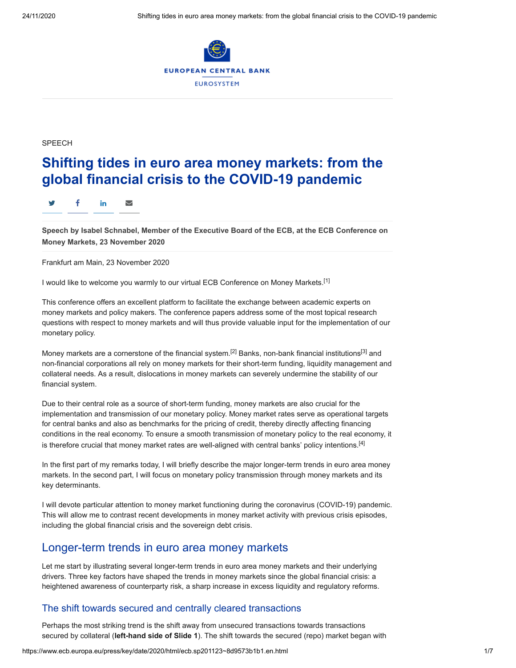

SPEECH

# **Shifting tides in euro area money markets: from the global financial crisis to the COVID-19 pandemic**

#### y f in ∑

**Speech by Isabel Schnabel, Member of the Executive Board of the ECB, at the ECB Conference on Money Markets, 23 November 2020**

Frankfurt am Main, 23 November 2020

I would like to welcome you warmly to our virtual ECB Conference on Money Markets.<sup>[1]</sup>

This conference offers an excellent platform to facilitate the exchange between academic experts on money markets and policy makers. The conference papers address some of the most topical research questions with respect to money markets and will thus provide valuable input for the implementation of our monetary policy.

Money markets are a cornerstone of the financial system.[2] Banks, non-bank financial institutions[3] and non-financial corporations all rely on money markets for their short-term funding, liquidity management and collateral needs. As a result, dislocations in money markets can severely undermine the stability of our financial system.

Due to their central role as a source of short-term funding, money markets are also crucial for the implementation and transmission of our monetary policy. Money market rates serve as operational targets for central banks and also as benchmarks for the pricing of credit, thereby directly affecting financing conditions in the real economy. To ensure a smooth transmission of monetary policy to the real economy, it is therefore crucial that money market rates are well-aligned with central banks' policy intentions. $[4]$ 

In the first part of my remarks today, I will briefly describe the major longer-term trends in euro area money markets. In the second part, I will focus on monetary policy transmission through money markets and its key determinants.

I will devote particular attention to money market functioning during the coronavirus (COVID-19) pandemic. This will allow me to contrast recent developments in money market activity with previous crisis episodes, including the global financial crisis and the sovereign debt crisis.

## Longer-term trends in euro area money markets

Let me start by illustrating several longer-term trends in euro area money markets and their underlying drivers. Three key factors have shaped the trends in money markets since the global financial crisis: a heightened awareness of counterparty risk, a sharp increase in excess liquidity and regulatory reforms.

### The shift towards secured and centrally cleared transactions

Perhaps the most striking trend is the shift away from unsecured transactions towards transactions secured by collateral (**left-hand side of Slide 1**). The shift towards the secured (repo) market began with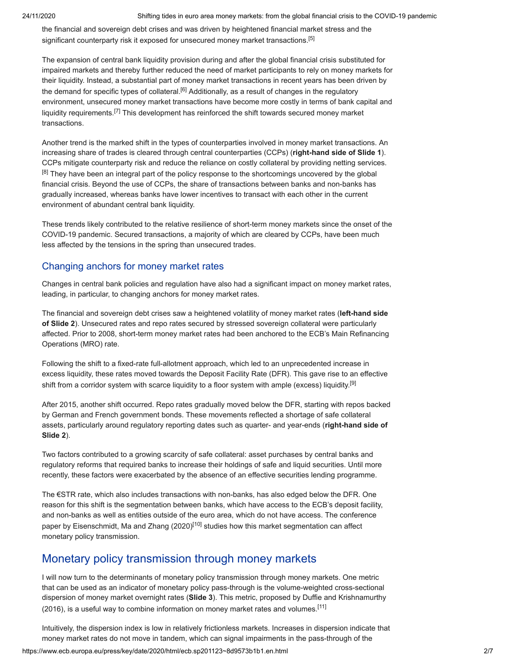24/11/2020 Shifting tides in euro area money markets: from the global financial crisis to the COVID-19 pandemic

the financial and sovereign debt crises and was driven by heightened financial market stress and the significant counterparty risk it exposed for unsecured money market transactions.<sup>[5]</sup>

The expansion of central bank liquidity provision during and after the global financial crisis substituted for impaired markets and thereby further reduced the need of market participants to rely on money markets for their liquidity. Instead, a substantial part of money market transactions in recent years has been driven by the demand for specific types of collateral.<sup>[6]</sup> Additionally, as a result of changes in the regulatory environment, unsecured money market transactions have become more costly in terms of bank capital and liquidity requirements.[7] This development has reinforced the shift towards secured money market transactions.

Another trend is the marked shift in the types of counterparties involved in money market transactions. An increasing share of trades is cleared through central counterparties (CCPs) (**right-hand side of Slide 1**). CCPs mitigate counterparty risk and reduce the reliance on costly collateral by providing netting services. <sup>[8]</sup> They have been an integral part of the policy response to the shortcomings uncovered by the global financial crisis. Beyond the use of CCPs, the share of transactions between banks and non-banks has gradually increased, whereas banks have lower incentives to transact with each other in the current environment of abundant central bank liquidity.

These trends likely contributed to the relative resilience of short-term money markets since the onset of the COVID-19 pandemic. Secured transactions, a majority of which are cleared by CCPs, have been much less affected by the tensions in the spring than unsecured trades.

### Changing anchors for money market rates

Changes in central bank policies and regulation have also had a significant impact on money market rates, leading, in particular, to changing anchors for money market rates.

The financial and sovereign debt crises saw a heightened volatility of money market rates (**left-hand side of Slide 2**). Unsecured rates and repo rates secured by stressed sovereign collateral were particularly affected. Prior to 2008, short-term money market rates had been anchored to the ECB's Main Refinancing Operations (MRO) rate.

Following the shift to a fixed-rate full-allotment approach, which led to an unprecedented increase in excess liquidity, these rates moved towards the Deposit Facility Rate (DFR). This gave rise to an effective shift from a corridor system with scarce liquidity to a floor system with ample (excess) liquidity.<sup>[9]</sup>

After 2015, another shift occurred. Repo rates gradually moved below the DFR, starting with repos backed by German and French government bonds. These movements reflected a shortage of safe collateral assets, particularly around regulatory reporting dates such as quarter- and year-ends (**right-hand side of Slide 2**).

Two factors contributed to a growing scarcity of safe collateral: asset purchases by central banks and regulatory reforms that required banks to increase their holdings of safe and liquid securities. Until more recently, these factors were exacerbated by the absence of an effective securities lending programme.

The €STR rate, which also includes transactions with non-banks, has also edged below the DFR. One reason for this shift is the segmentation between banks, which have access to the ECB's deposit facility, and non-banks as well as entities outside of the euro area, which do not have access. The conference paper by Eisenschmidt. Ma and Zhang  $(2020)^{[10]}$  studies how this market segmentation can affect monetary policy transmission.

## Monetary policy transmission through money markets

I will now turn to the determinants of monetary policy transmission through money markets. One metric that can be used as an indicator of monetary policy pass-through is the volume-weighted cross-sectional dispersion of money market overnight rates (**Slide 3**). This metric, proposed by Duffie and Krishnamurthy (2016), is a useful way to combine information on money market rates and volumes.[11]

Intuitively, the dispersion index is low in relatively frictionless markets. Increases in dispersion indicate that money market rates do not move in tandem, which can signal impairments in the pass-through of the

https://www.ecb.europa.eu/press/key/date/2020/html/ecb.sp201123~8d9573b1b1.en.html 2/7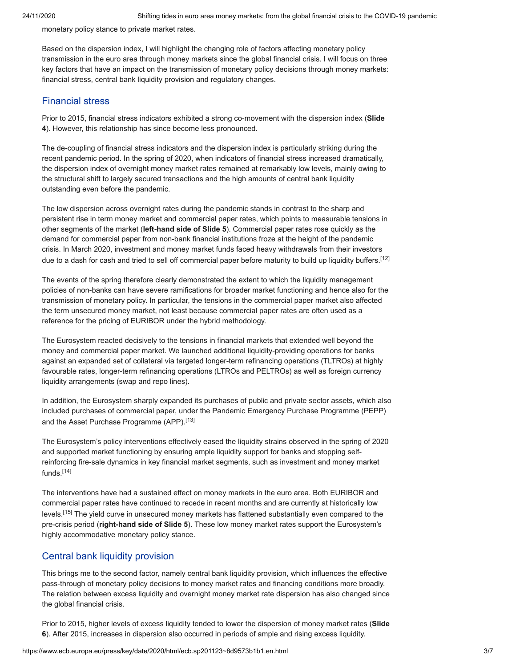monetary policy stance to private market rates.

Based on the dispersion index, I will highlight the changing role of factors affecting monetary policy transmission in the euro area through money markets since the global financial crisis. I will focus on three key factors that have an impact on the transmission of monetary policy decisions through money markets: financial stress, central bank liquidity provision and regulatory changes.

#### Financial stress

Prior to 2015, financial stress indicators exhibited a strong co-movement with the dispersion index (**Slide 4**). However, this relationship has since become less pronounced.

The de-coupling of financial stress indicators and the dispersion index is particularly striking during the recent pandemic period. In the spring of 2020, when indicators of financial stress increased dramatically, the dispersion index of overnight money market rates remained at remarkably low levels, mainly owing to the structural shift to largely secured transactions and the high amounts of central bank liquidity outstanding even before the pandemic.

The low dispersion across overnight rates during the pandemic stands in contrast to the sharp and persistent rise in term money market and commercial paper rates, which points to measurable tensions in other segments of the market (**left-hand side of Slide 5**). Commercial paper rates rose quickly as the demand for commercial paper from non-bank financial institutions froze at the height of the pandemic crisis. In March 2020, investment and money market funds faced heavy withdrawals from their investors due to a dash for cash and tried to sell off commercial paper before maturity to build up liquidity buffers.<sup>[12]</sup>

The events of the spring therefore clearly demonstrated the extent to which the liquidity management policies of non-banks can have severe ramifications for broader market functioning and hence also for the transmission of monetary policy. In particular, the tensions in the commercial paper market also affected the term unsecured money market, not least because commercial paper rates are often used as a reference for the pricing of EURIBOR under the hybrid methodology.

The Eurosystem reacted decisively to the tensions in financial markets that extended well beyond the money and commercial paper market. We launched additional liquidity-providing operations for banks against an expanded set of collateral via targeted longer-term refinancing operations (TLTROs) at highly favourable rates, longer-term refinancing operations (LTROs and PELTROs) as well as foreign currency liquidity arrangements (swap and repo lines).

In addition, the Eurosystem sharply expanded its purchases of public and private sector assets, which also included purchases of commercial paper, under the Pandemic Emergency Purchase Programme (PEPP) and the Asset Purchase Programme (APP).<sup>[13]</sup>

The Eurosystem's policy interventions effectively eased the liquidity strains observed in the spring of 2020 and supported market functioning by ensuring ample liquidity support for banks and stopping selfreinforcing fire-sale dynamics in key financial market segments, such as investment and money market funds.[14]

The interventions have had a sustained effect on money markets in the euro area. Both EURIBOR and commercial paper rates have continued to recede in recent months and are currently at historically low levels.[15] The yield curve in unsecured money markets has flattened substantially even compared to the pre-crisis period (**right-hand side of Slide 5**). These low money market rates support the Eurosystem's highly accommodative monetary policy stance.

#### Central bank liquidity provision

This brings me to the second factor, namely central bank liquidity provision, which influences the effective pass-through of monetary policy decisions to money market rates and financing conditions more broadly. The relation between excess liquidity and overnight money market rate dispersion has also changed since the global financial crisis.

Prior to 2015, higher levels of excess liquidity tended to lower the dispersion of money market rates (**Slide 6**). After 2015, increases in dispersion also occurred in periods of ample and rising excess liquidity.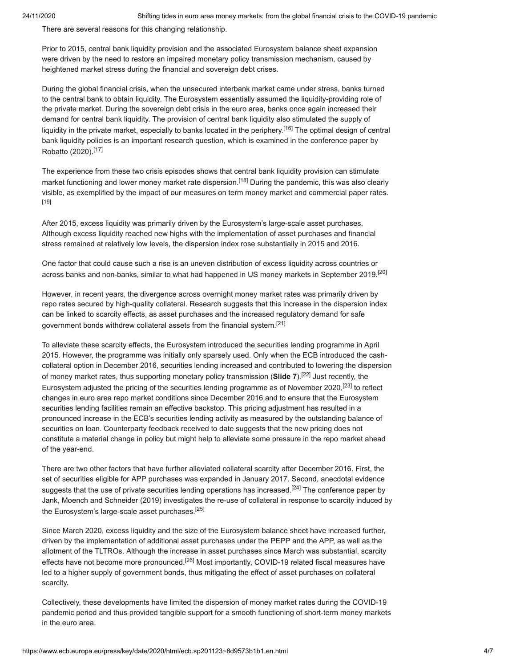There are several reasons for this changing relationship.

Prior to 2015, central bank liquidity provision and the associated Eurosystem balance sheet expansion were driven by the need to restore an impaired monetary policy transmission mechanism, caused by heightened market stress during the financial and sovereign debt crises.

During the global financial crisis, when the unsecured interbank market came under stress, banks turned to the central bank to obtain liquidity. The Eurosystem essentially assumed the liquidity-providing role of the private market. During the sovereign debt crisis in the euro area, banks once again increased their demand for central bank liquidity. The provision of central bank liquidity also stimulated the supply of liquidity in the private market, especially to banks located in the periphery.<sup>[16]</sup> The optimal design of central bank liquidity policies is an important research question, which is examined in the conference paper by Robatto (2020).[17]

The experience from these two crisis episodes shows that central bank liquidity provision can stimulate market functioning and lower money market rate dispersion.<sup>[18]</sup> During the pandemic, this was also clearly visible, as exemplified by the impact of our measures on term money market and commercial paper rates. [19]

After 2015, excess liquidity was primarily driven by the Eurosystem's large-scale asset purchases. Although excess liquidity reached new highs with the implementation of asset purchases and financial stress remained at relatively low levels, the dispersion index rose substantially in 2015 and 2016.

One factor that could cause such a rise is an uneven distribution of excess liquidity across countries or across banks and non-banks, similar to what had happened in US money markets in September 2019.[20]

However, in recent years, the divergence across overnight money market rates was primarily driven by repo rates secured by high-quality collateral. Research suggests that this increase in the dispersion index can be linked to scarcity effects, as asset purchases and the increased regulatory demand for safe government bonds withdrew collateral assets from the financial system.[21]

To alleviate these scarcity effects, the Eurosystem introduced the securities lending programme in April 2015. However, the programme was initially only sparsely used. Only when the ECB introduced the cashcollateral option in December 2016, securities lending increased and contributed to lowering the dispersion of money market rates, thus supporting monetary policy transmission (**Slide 7**).[22] Just recently, the Eurosystem adjusted the pricing of the securities lending programme as of November 2020,[23] to reflect changes in euro area repo market conditions since December 2016 and to ensure that the Eurosystem securities lending facilities remain an effective backstop. This pricing adjustment has resulted in a pronounced increase in the ECB's securities lending activity as measured by the outstanding balance of securities on loan. Counterparty feedback received to date suggests that the new pricing does not constitute a material change in policy but might help to alleviate some pressure in the repo market ahead of the year-end.

There are two other factors that have further alleviated collateral scarcity after December 2016. First, the set of securities eligible for APP purchases was expanded in January 2017. Second, anecdotal evidence suggests that the use of private securities lending operations has increased.<sup>[24]</sup> The conference paper by Jank, Moench and Schneider (2019) investigates the re-use of collateral in response to scarcity induced by the Eurosystem's large-scale asset purchases.<sup>[25]</sup>

Since March 2020, excess liquidity and the size of the Eurosystem balance sheet have increased further, driven by the implementation of additional asset purchases under the PEPP and the APP, as well as the allotment of the TLTROs. Although the increase in asset purchases since March was substantial, scarcity effects have not become more pronounced.<sup>[26]</sup> Most importantly, COVID-19 related fiscal measures have led to a higher supply of government bonds, thus mitigating the effect of asset purchases on collateral scarcity.

Collectively, these developments have limited the dispersion of money market rates during the COVID-19 pandemic period and thus provided tangible support for a smooth functioning of short-term money markets in the euro area.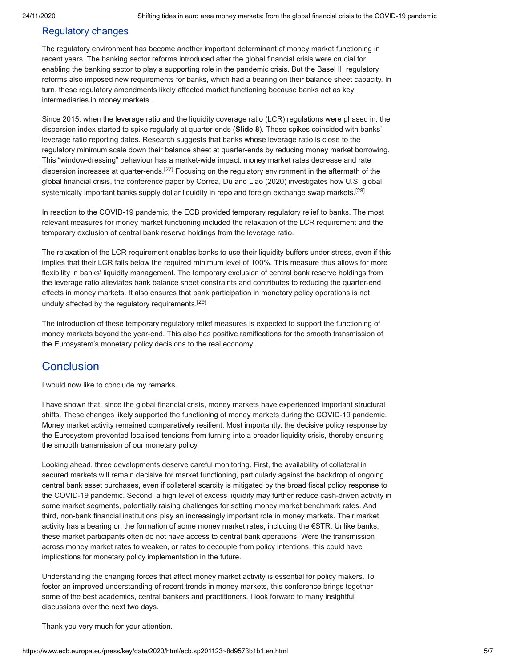#### Regulatory changes

The regulatory environment has become another important determinant of money market functioning in recent years. The banking sector reforms introduced after the global financial crisis were crucial for enabling the banking sector to play a supporting role in the pandemic crisis. But the Basel III regulatory reforms also imposed new requirements for banks, which had a bearing on their balance sheet capacity. In turn, these regulatory amendments likely affected market functioning because banks act as key intermediaries in money markets.

Since 2015, when the leverage ratio and the liquidity coverage ratio (LCR) regulations were phased in, the dispersion index started to spike regularly at quarter-ends (**Slide 8**). These spikes coincided with banks' leverage ratio reporting dates. Research suggests that banks whose leverage ratio is close to the regulatory minimum scale down their balance sheet at quarter-ends by reducing money market borrowing. This "window-dressing" behaviour has a market-wide impact: money market rates decrease and rate dispersion increases at quarter-ends.<sup>[27]</sup> Focusing on the regulatory environment in the aftermath of the global financial crisis, the conference paper by Correa, Du and Liao (2020) investigates how U.S. global systemically important banks supply dollar liquidity in repo and foreign exchange swap markets.<sup>[28]</sup>

In reaction to the COVID-19 pandemic, the ECB provided temporary regulatory relief to banks. The most relevant measures for money market functioning included the relaxation of the LCR requirement and the temporary exclusion of central bank reserve holdings from the leverage ratio.

The relaxation of the LCR requirement enables banks to use their liquidity buffers under stress, even if this implies that their LCR falls below the required minimum level of 100%. This measure thus allows for more flexibility in banks' liquidity management. The temporary exclusion of central bank reserve holdings from the leverage ratio alleviates bank balance sheet constraints and contributes to reducing the quarter-end effects in money markets. It also ensures that bank participation in monetary policy operations is not unduly affected by the regulatory requirements.<sup>[29]</sup>

The introduction of these temporary regulatory relief measures is expected to support the functioning of money markets beyond the year-end. This also has positive ramifications for the smooth transmission of the Eurosystem's monetary policy decisions to the real economy.

## **Conclusion**

I would now like to conclude my remarks.

I have shown that, since the global financial crisis, money markets have experienced important structural shifts. These changes likely supported the functioning of money markets during the COVID-19 pandemic. Money market activity remained comparatively resilient. Most importantly, the decisive policy response by the Eurosystem prevented localised tensions from turning into a broader liquidity crisis, thereby ensuring the smooth transmission of our monetary policy.

Looking ahead, three developments deserve careful monitoring. First, the availability of collateral in secured markets will remain decisive for market functioning, particularly against the backdrop of ongoing central bank asset purchases, even if collateral scarcity is mitigated by the broad fiscal policy response to the COVID-19 pandemic. Second, a high level of excess liquidity may further reduce cash-driven activity in some market segments, potentially raising challenges for setting money market benchmark rates. And third, non-bank financial institutions play an increasingly important role in money markets. Their market activity has a bearing on the formation of some money market rates, including the €STR. Unlike banks, these market participants often do not have access to central bank operations. Were the transmission across money market rates to weaken, or rates to decouple from policy intentions, this could have implications for monetary policy implementation in the future.

Understanding the changing forces that affect money market activity is essential for policy makers. To foster an improved understanding of recent trends in money markets, this conference brings together some of the best academics, central bankers and practitioners. I look forward to many insightful discussions over the next two days.

Thank you very much for your attention.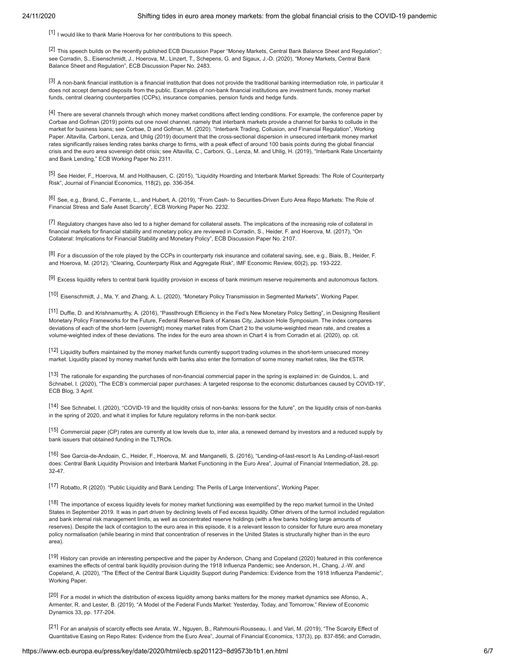$[1]$  I would like to thank Marie Hoerova for her contributions to this speech.

[2] This speech builds on the recently published ECB Discussion Paper "Money Markets, Central Bank Balance Sheet and Regulation"; see Corradin, S., Eisenschmidt, J., Hoerova, M., Linzert, T., Schepens, G. and Sigaux, J.-D. (2020), "Money Markets, Central Bank Balance Sheet and Regulation", ECB Discussion Paper No. 2483.

<sup>[3]</sup> A non-bank financial institution is a financial institution that does not provide the traditional banking intermediation role, in particular it does not accept demand deposits from the public. Examples of non-bank financial institutions are investment funds, money market funds, central clearing counterparties (CCPs), insurance companies, pension funds and hedge funds.

[4] There are several channels through which money market conditions affect lending conditions. For example, the conference paper by Corbae and Gofman (2019) points out one novel channel, namely that interbank markets provide a channel for banks to collude in the market for business loans; see Corbae, D and Gofman, M. (2020). "Interbank Trading, Collusion, and Financial Regulation", Working Paper. Altavilla, Carboni, Lenza, and Uhlig (2019) document that the cross-sectional dispersion in unsecured interbank money market rates significantly raises lending rates banks charge to firms, with a peak effect of around 100 basis points during the global financial crisis and the euro area sovereign debt crisis; see Altavilla, C., Carboni, G., Lenza, M. and Uhlig, H. (2019), "Interbank Rate Uncertainty and Bank Lending," ECB Working Paper No 2311.

[5] See Heider, F., Hoerova, M. and Holthausen, C. (2015), "Liquidity Hoarding and Interbank Market Spreads: The Role of Counterparty Risk", Journal of Financial Economics, 118(2), pp. 336-354.

[6] See, e.g., Brand, C., Ferrante, L., and Hubert, A. (2019), "From Cash- to Securities-Driven Euro Area Repo Markets: The Role of Financial Stress and Safe Asset Scarcity", ECB Working Paper No. 2232.

[7] Regulatory changes have also led to a higher demand for collateral assets. The implications of the increasing role of collateral in financial markets for financial stability and monetary policy are reviewed in Corradin, S., Heider, F. and Hoerova, M. (2017), "On Collateral: Implications for Financial Stability and Monetary Policy", ECB Discussion Paper No. 2107.

[8] For a discussion of the role played by the CCPs in counterparty risk insurance and collateral saving, see, e.g., Biais, B., Heider, F. and Hoerova, M. (2012), "Clearing, Counterparty Risk and Aggregate Risk", IMF Economic Review, 60(2), pp. 193-222.

<sup>[9]</sup> Excess liquidity refers to central bank liquidity provision in excess of bank minimum reserve requirements and autonomous factors.

[10] Eisenschmidt, J., Ma, Y. and Zhang, A. L. (2020), "Monetary Policy Transmission in Segmented Markets", Working Paper.

[11] Duffie, D. and Krishnamurthy, A. (2016), "Passthrough Efficiency in the Fed's New Monetary Policy Setting", in Designing Resilient Monetary Policy Frameworks for the Future, Federal Reserve Bank of Kansas City, Jackson Hole Symposium. The index compares deviations of each of the short-term (overnight) money market rates from Chart 2 to the volume-weighted mean rate, and creates a volume-weighted index of these deviations. The index for the euro area shown in Chart 4 is from Corradin et al. (2020), op. cit.

[12] Liquidity buffers maintained by the money market funds currently support trading volumes in the short-term unsecured money market. Liquidity placed by money market funds with banks also enter the formation of some money market rates, like the €STR.

[13] The rationale for expanding the purchases of non-financial commercial paper in the spring is explained in: de Guindos, L. and Schnabel, I. (2020), "The ECB's commercial paper purchases: A targeted response to the economic disturbances caused by COVID-19", ECB Blog, 3 April.

[14] See Schnabel, I. (2020), "COVID-19 and the liquidity crisis of non-banks: lessons for the future", on the liquidity crisis of non-banks in the spring of 2020, and what it implies for future regulatory reforms in the non-bank sector.

[15] Commercial paper (CP) rates are currently at low levels due to, inter alia, a renewed demand by investors and a reduced supply by bank issuers that obtained funding in the TLTROs.

[16] See Garcia-de-Andoain, C., Heider, F., Hoerova, M. and Manganelli, S. (2016), "Lending-of-last-resort Is As Lending-of-last-resort does: Central Bank Liquidity Provision and Interbank Market Functioning in the Euro Area", Journal of Financial Intermediation, 28, pp. 32-47.

[17] Robatto, R (2020). "Public Liquidity and Bank Lending: The Perils of Large Interventions", Working Paper.

[18] The importance of excess liquidity levels for money market functioning was exemplified by the repo market turmoil in the United States in September 2019. It was in part driven by declining levels of Fed excess liquidity. Other drivers of the turmoil included regulation and bank internal risk management limits, as well as concentrated reserve holdings (with a few banks holding large amounts of reserves). Despite the lack of contagion to the euro area in this episode, it is a relevant lesson to consider for future euro area monetary policy normalisation (while bearing in mind that concentration of reserves in the United States is structurally higher than in the euro area).

[19] History can provide an interesting perspective and the paper by Anderson, Chang and Copeland (2020) featured in this conference examines the effects of central bank liquidity provision during the 1918 Influenza Pandemic; see Anderson, H., Chang, J.-W. and Copeland, A. (2020), "The Effect of the Central Bank Liquidity Support during Pandemics: Evidence from the 1918 Influenza Pandemic", Working Paper.

[20] For a model in which the distribution of excess liquidity among banks matters for the money market dynamics see Afonso, A., Armenter, R. and Lester, B. (2019), "A Model of the Federal Funds Market: Yesterday, Today, and Tomorrow," Review of Economic Dynamics 33, pp. 177-204.

[21] For an analysis of scarcity effects see Arrata, W., Nguyen, B., Rahmouni-Rousseau, I. and Vari, M. (2019), "The Scarcity Effect of Quantitative Easing on Repo Rates: Evidence from the Euro Area", Journal of Financial Economics, 137(3), pp. 837-856; and Corradin,